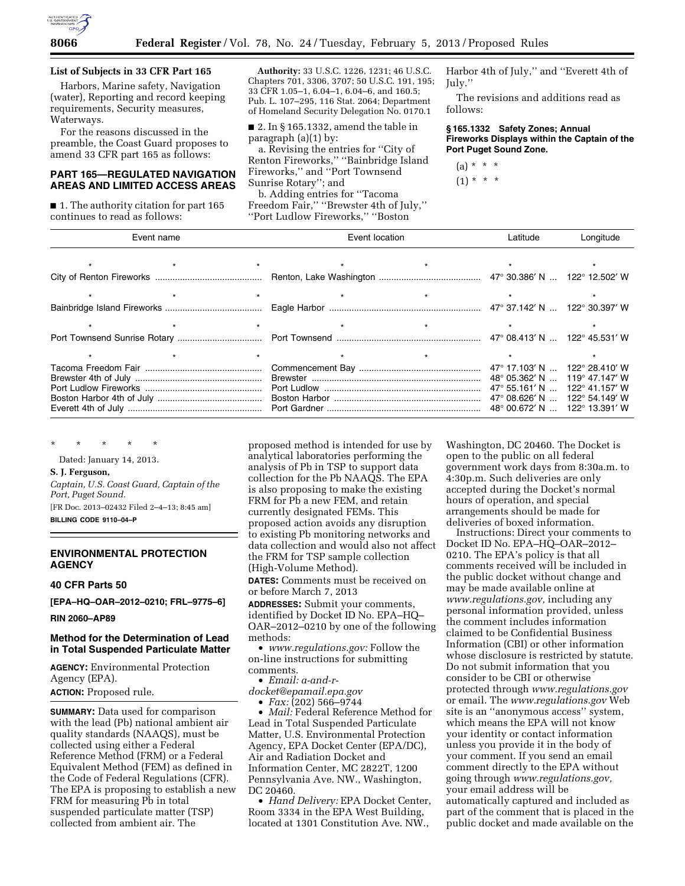

### **List of Subjects in 33 CFR Part 165**

Harbors, Marine safety, Navigation (water), Reporting and record keeping requirements, Security measures, Waterways.

For the reasons discussed in the preamble, the Coast Guard proposes to amend 33 CFR part 165 as follows:

## **PART 165—REGULATED NAVIGATION AREAS AND LIMITED ACCESS AREAS**

■ 1. The authority citation for part 165 continues to read as follows:

**Authority:** 33 U.S.C. 1226, 1231; 46 U.S.C. Chapters 701, 3306, 3707; 50 U.S.C. 191, 195; 33 CFR 1.05–1, 6.04–1, 6.04–6, and 160.5; Pub. L. 107–295, 116 Stat. 2064; Department of Homeland Security Delegation No. 0170.1

■ 2. In § 165.1332, amend the table in paragraph (a)(1) by:

a. Revising the entries for ''City of Renton Fireworks,'' ''Bainbridge Island Fireworks,'' and ''Port Townsend Sunrise Rotary''; and

b. Adding entries for ''Tacoma Freedom Fair," "Brewster 4th of July," ''Port Ludlow Fireworks,'' ''Boston

Harbor 4th of July,'' and ''Everett 4th of July.''

The revisions and additions read as follows:

**§ 165.1332 Safety Zones; Annual Fireworks Displays within the Captain of the Port Puget Sound Zone.** 

(a) \* \* \* (1) \* \* \*

| Event name |  | Event location | Latitude                        | Longitude |  |  |
|------------|--|----------------|---------------------------------|-----------|--|--|
|            |  |                | $\star$ $\star$ $\star$ $\star$ |           |  |  |
|            |  |                |                                 |           |  |  |
|            |  |                |                                 |           |  |  |
|            |  |                |                                 |           |  |  |
|            |  |                |                                 |           |  |  |
|            |  |                |                                 |           |  |  |
|            |  | $\star$        |                                 | $\star$   |  |  |
|            |  |                |                                 |           |  |  |

\* \* \* \* \*

Dated: January 14, 2013.

#### **S. J. Ferguson,**

*Captain, U.S. Coast Guard, Captain of the Port, Puget Sound.* 

[FR Doc. 2013–02432 Filed 2–4–13; 8:45 am] **BILLING CODE 9110–04–P** 

## **ENVIRONMENTAL PROTECTION AGENCY**

**40 CFR Parts 50** 

**[EPA–HQ–OAR–2012–0210; FRL–9775–6]** 

**RIN 2060–AP89** 

#### **Method for the Determination of Lead in Total Suspended Particulate Matter**

**AGENCY:** Environmental Protection Agency (EPA). **ACTION:** Proposed rule.

**SUMMARY:** Data used for comparison with the lead (Pb) national ambient air quality standards (NAAQS), must be collected using either a Federal Reference Method (FRM) or a Federal Equivalent Method (FEM) as defined in the Code of Federal Regulations (CFR). The EPA is proposing to establish a new FRM for measuring Pb in total suspended particulate matter (TSP) collected from ambient air. The

proposed method is intended for use by analytical laboratories performing the analysis of Pb in TSP to support data collection for the Pb NAAQS. The EPA is also proposing to make the existing FRM for Pb a new FEM, and retain currently designated FEMs. This proposed action avoids any disruption to existing Pb monitoring networks and data collection and would also not affect the FRM for TSP sample collection (High-Volume Method).

**DATES:** Comments must be received on or before March 7, 2013

**ADDRESSES:** Submit your comments, identified by Docket ID No. EPA–HQ– OAR–2012–0210 by one of the following methods:

• *[www.regulations.gov:](http://www.regulations.gov)* Follow the on-line instructions for submitting comments.

• *Email: [a-and-r-](mailto:a-and-r-docket@epamail.epa.gov)*

*[docket@epamail.epa.gov](mailto:a-and-r-docket@epamail.epa.gov)* 

• *Fax:* (202) 566–9744

• *Mail:* Federal Reference Method for Lead in Total Suspended Particulate Matter, U.S. Environmental Protection Agency, EPA Docket Center (EPA/DC), Air and Radiation Docket and Information Center, MC 2822T, 1200 Pennsylvania Ave. NW., Washington, DC 20460.

• *Hand Delivery:* EPA Docket Center, Room 3334 in the EPA West Building, located at 1301 Constitution Ave. NW.,

Washington, DC 20460. The Docket is open to the public on all federal government work days from 8:30a.m. to 4:30p.m. Such deliveries are only accepted during the Docket's normal hours of operation, and special arrangements should be made for deliveries of boxed information.

Instructions: Direct your comments to Docket ID No. EPA–HQ–OAR–2012– 0210. The EPA's policy is that all comments received will be included in the public docket without change and may be made available online at *[www.regulations.gov,](http://www.regulations.gov)* including any personal information provided, unless the comment includes information claimed to be Confidential Business Information (CBI) or other information whose disclosure is restricted by statute. Do not submit information that you consider to be CBI or otherwise protected through *[www.regulations.gov](http://www.regulations.gov)*  or email. The *[www.regulations.gov](http://www.regulations.gov)* Web site is an ''anonymous access'' system, which means the EPA will not know your identity or contact information unless you provide it in the body of your comment. If you send an email comment directly to the EPA without going through *[www.regulations.gov,](http://www.regulations.gov)*  your email address will be automatically captured and included as part of the comment that is placed in the public docket and made available on the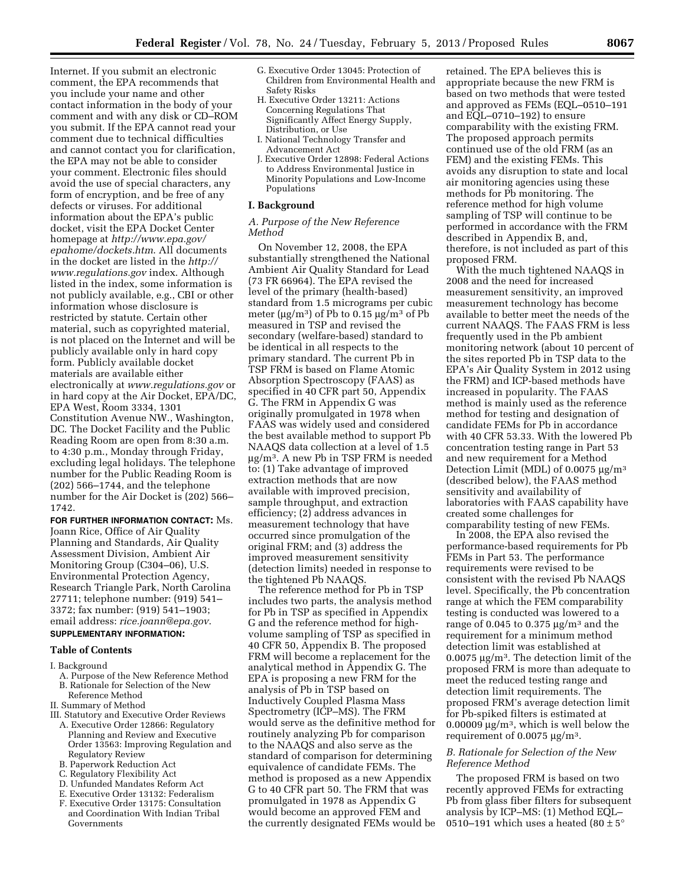Internet. If you submit an electronic comment, the EPA recommends that you include your name and other contact information in the body of your comment and with any disk or CD–ROM you submit. If the EPA cannot read your comment due to technical difficulties and cannot contact you for clarification, the EPA may not be able to consider your comment. Electronic files should avoid the use of special characters, any form of encryption, and be free of any defects or viruses. For additional information about the EPA's public docket, visit the EPA Docket Center homepage at *[http://www.epa.gov/](http://www.epa.gov/epahome/dockets.htm) [epahome/dockets.htm](http://www.epa.gov/epahome/dockets.htm)*. All documents in the docket are listed in the *[http://](http://www.regulations.gov)  [www.regulations.gov](http://www.regulations.gov)* index. Although listed in the index, some information is not publicly available, e.g., CBI or other information whose disclosure is restricted by statute. Certain other material, such as copyrighted material, is not placed on the Internet and will be publicly available only in hard copy form. Publicly available docket materials are available either electronically at *[www.regulations.gov](http://www.regulations.gov)* or in hard copy at the Air Docket, EPA/DC, EPA West, Room 3334, 1301 Constitution Avenue NW., Washington, DC. The Docket Facility and the Public Reading Room are open from 8:30 a.m. to 4:30 p.m., Monday through Friday, excluding legal holidays. The telephone number for the Public Reading Room is (202) 566–1744, and the telephone number for the Air Docket is (202) 566– 1742.

## **FOR FURTHER INFORMATION CONTACT:** Ms.

Joann Rice, Office of Air Quality Planning and Standards, Air Quality Assessment Division, Ambient Air Monitoring Group (C304–06), U.S. Environmental Protection Agency, Research Triangle Park, North Carolina 27711; telephone number: (919) 541– 3372; fax number: (919) 541–1903; email address: *[rice.joann@epa.gov](mailto:rice.joann@epa.gov)*.

## **SUPPLEMENTARY INFORMATION:**

## **Table of Contents**

#### I. Background

- A. Purpose of the New Reference Method B. Rationale for Selection of the New
- Reference Method II. Summary of Method
- III. Statutory and Executive Order Reviews
- A. Executive Order 12866: Regulatory Planning and Review and Executive Order 13563: Improving Regulation and
- Regulatory Review B. Paperwork Reduction Act
- C. Regulatory Flexibility Act
- D. Unfunded Mandates Reform Act
- E. Executive Order 13132: Federalism
- F. Executive Order 13175: Consultation and Coordination With Indian Tribal Governments
- G. Executive Order 13045: Protection of Children from Environmental Health and Safety Risks
- H. Executive Order 13211: Actions Concerning Regulations That Significantly Affect Energy Supply, Distribution, or Use
- I. National Technology Transfer and Advancement Act
- J. Executive Order 12898: Federal Actions to Address Environmental Justice in Minority Populations and Low-Income Populations

#### **I. Background**

#### *A. Purpose of the New Reference Method*

On November 12, 2008, the EPA substantially strengthened the National Ambient Air Quality Standard for Lead (73 FR 66964). The EPA revised the level of the primary (health-based) standard from 1.5 micrograms per cubic meter ( $\mu$ g/m<sup>3</sup>) of Pb to 0.15  $\mu$ g/m<sup>3</sup> of Pb measured in TSP and revised the secondary (welfare-based) standard to be identical in all respects to the primary standard. The current Pb in TSP FRM is based on Flame Atomic Absorption Spectroscopy (FAAS) as specified in 40 CFR part 50, Appendix G. The FRM in Appendix G was originally promulgated in 1978 when FAAS was widely used and considered the best available method to support Pb NAAQS data collection at a level of 1.5  $\mu$ g/m<sup>3</sup>. A new Pb in TSP FRM is needed to: (1) Take advantage of improved extraction methods that are now available with improved precision, sample throughput, and extraction efficiency; (2) address advances in measurement technology that have occurred since promulgation of the original FRM; and (3) address the improved measurement sensitivity (detection limits) needed in response to the tightened Pb NAAQS.

The reference method for Pb in TSP includes two parts, the analysis method for Pb in TSP as specified in Appendix G and the reference method for highvolume sampling of TSP as specified in 40 CFR 50, Appendix B. The proposed FRM will become a replacement for the analytical method in Appendix G. The EPA is proposing a new FRM for the analysis of Pb in TSP based on Inductively Coupled Plasma Mass Spectrometry (ICP–MS). The FRM would serve as the definitive method for routinely analyzing Pb for comparison to the NAAQS and also serve as the standard of comparison for determining equivalence of candidate FEMs. The method is proposed as a new Appendix G to 40 CFR part 50. The FRM that was promulgated in 1978 as Appendix G would become an approved FEM and the currently designated FEMs would be retained. The EPA believes this is appropriate because the new FRM is based on two methods that were tested and approved as FEMs (EQL–0510–191 and EQL–0710–192) to ensure comparability with the existing FRM. The proposed approach permits continued use of the old FRM (as an FEM) and the existing FEMs. This avoids any disruption to state and local air monitoring agencies using these methods for Pb monitoring. The reference method for high volume sampling of TSP will continue to be performed in accordance with the FRM described in Appendix B, and, therefore, is not included as part of this proposed FRM.

With the much tightened NAAQS in 2008 and the need for increased measurement sensitivity, an improved measurement technology has become available to better meet the needs of the current NAAQS. The FAAS FRM is less frequently used in the Pb ambient monitoring network (about 10 percent of the sites reported Pb in TSP data to the EPA's Air Quality System in 2012 using the FRM) and ICP-based methods have increased in popularity. The FAAS method is mainly used as the reference method for testing and designation of candidate FEMs for Pb in accordance with 40 CFR 53.33. With the lowered Pb concentration testing range in Part 53 and new requirement for a Method Detection Limit (MDL) of  $0.0075 \text{ µg/m}^3$ (described below), the FAAS method sensitivity and availability of laboratories with FAAS capability have created some challenges for comparability testing of new FEMs.

In 2008, the EPA also revised the performance-based requirements for Pb FEMs in Part 53. The performance requirements were revised to be consistent with the revised Pb NAAQS level. Specifically, the Pb concentration range at which the FEM comparability testing is conducted was lowered to a range of 0.045 to 0.375  $\mu$ g/m<sup>3</sup> and the requirement for a minimum method detection limit was established at  $0.0075 \,\mathrm{\mu g/m^3}$ . The detection limit of the proposed FRM is more than adequate to meet the reduced testing range and detection limit requirements. The proposed FRM's average detection limit for Pb-spiked filters is estimated at 0.00009  $\mu$ g/m<sup>3</sup>, which is well below the requirement of  $0.0075 \mu g/m^3$ .

#### *B. Rationale for Selection of the New Reference Method*

The proposed FRM is based on two recently approved FEMs for extracting Pb from glass fiber filters for subsequent analysis by ICP–MS: (1) Method EQL– 0510–191 which uses a heated (80  $\pm$  5 $^{\circ}$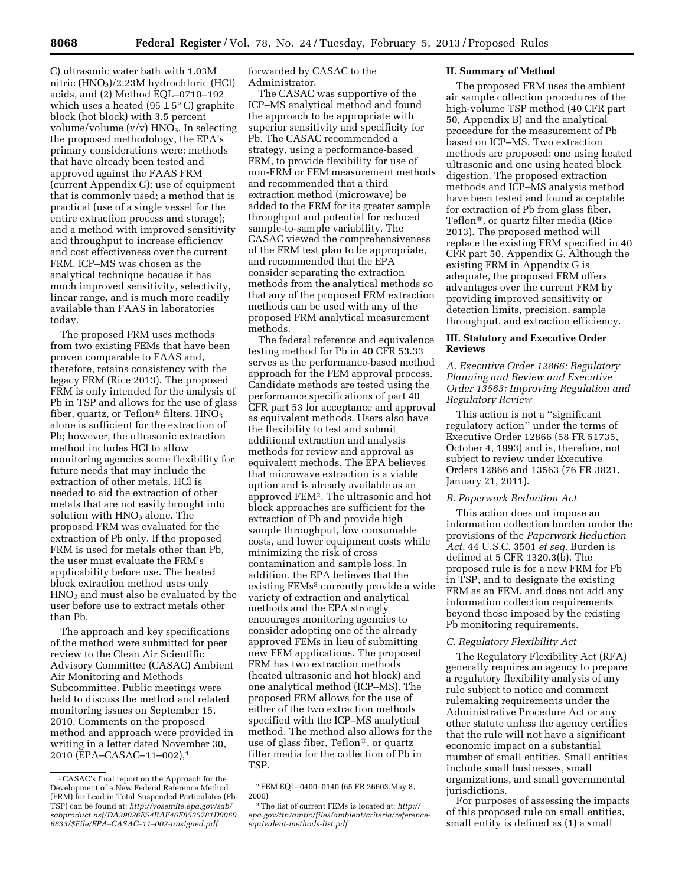C) ultrasonic water bath with 1.03M nitric (HNO3)/2.23M hydrochloric (HCl) acids, and (2) Method EQL–0710–192 which uses a heated (95  $\pm$  5 $\degree$  C) graphite block (hot block) with 3.5 percent volume/volume  $(v/v)$  HNO<sub>3</sub>. In selecting the proposed methodology, the EPA's primary considerations were: methods that have already been tested and approved against the FAAS FRM (current Appendix G); use of equipment that is commonly used; a method that is practical (use of a single vessel for the entire extraction process and storage); and a method with improved sensitivity and throughput to increase efficiency and cost effectiveness over the current FRM. ICP–MS was chosen as the analytical technique because it has much improved sensitivity, selectivity, linear range, and is much more readily available than FAAS in laboratories today.

The proposed FRM uses methods from two existing FEMs that have been proven comparable to FAAS and, therefore, retains consistency with the legacy FRM (Rice 2013). The proposed FRM is only intended for the analysis of Pb in TSP and allows for the use of glass fiber, quartz, or Teflon<sup>®</sup> filters.  $HNO<sub>3</sub>$ alone is sufficient for the extraction of Pb; however, the ultrasonic extraction method includes HCl to allow monitoring agencies some flexibility for future needs that may include the extraction of other metals. HCl is needed to aid the extraction of other metals that are not easily brought into solution with  $HNO<sub>3</sub>$  alone. The proposed FRM was evaluated for the extraction of Pb only. If the proposed FRM is used for metals other than Pb, the user must evaluate the FRM's applicability before use. The heated block extraction method uses only HNO3 and must also be evaluated by the user before use to extract metals other than Pb.

The approach and key specifications of the method were submitted for peer review to the Clean Air Scientific Advisory Committee (CASAC) Ambient Air Monitoring and Methods Subcommittee. Public meetings were held to discuss the method and related monitoring issues on September 15, 2010. Comments on the proposed method and approach were provided in writing in a letter dated November 30, 2010 (EPA–CASAC–11–002),1

forwarded by CASAC to the Administrator.

The CASAC was supportive of the ICP–MS analytical method and found the approach to be appropriate with superior sensitivity and specificity for Pb. The CASAC recommended a strategy, using a performance-based FRM, to provide flexibility for use of non-FRM or FEM measurement methods and recommended that a third extraction method (microwave) be added to the FRM for its greater sample throughput and potential for reduced sample-to-sample variability. The CASAC viewed the comprehensiveness of the FRM test plan to be appropriate, and recommended that the EPA consider separating the extraction methods from the analytical methods so that any of the proposed FRM extraction methods can be used with any of the proposed FRM analytical measurement methods.

The federal reference and equivalence testing method for Pb in 40 CFR 53.33 serves as the performance-based method approach for the FEM approval process. Candidate methods are tested using the performance specifications of part 40 CFR part 53 for acceptance and approval as equivalent methods. Users also have the flexibility to test and submit additional extraction and analysis methods for review and approval as equivalent methods. The EPA believes that microwave extraction is a viable option and is already available as an approved FEM2. The ultrasonic and hot block approaches are sufficient for the extraction of Pb and provide high sample throughput, low consumable costs, and lower equipment costs while minimizing the risk of cross contamination and sample loss. In addition, the EPA believes that the existing FEMs<sup>3</sup> currently provide a wide variety of extraction and analytical methods and the EPA strongly encourages monitoring agencies to consider adopting one of the already approved FEMs in lieu of submitting new FEM applications. The proposed FRM has two extraction methods (heated ultrasonic and hot block) and one analytical method (ICP–MS). The proposed FRM allows for the use of either of the two extraction methods specified with the ICP–MS analytical method. The method also allows for the use of glass fiber, Teflon®, or quartz filter media for the collection of Pb in TSP.

### **II. Summary of Method**

The proposed FRM uses the ambient air sample collection procedures of the high-volume TSP method (40 CFR part 50, Appendix B) and the analytical procedure for the measurement of Pb based on ICP–MS. Two extraction methods are proposed: one using heated ultrasonic and one using heated block digestion. The proposed extraction methods and ICP–MS analysis method have been tested and found acceptable for extraction of Pb from glass fiber, Teflon®, or quartz filter media (Rice 2013). The proposed method will replace the existing FRM specified in 40 CFR part 50, Appendix G. Although the existing FRM in Appendix G is adequate, the proposed FRM offers advantages over the current FRM by providing improved sensitivity or detection limits, precision, sample throughput, and extraction efficiency.

#### **III. Statutory and Executive Order Reviews**

## *A. Executive Order 12866: Regulatory Planning and Review and Executive Order 13563: Improving Regulation and Regulatory Review*

This action is not a ''significant regulatory action'' under the terms of Executive Order 12866 (58 FR 51735, October 4, 1993) and is, therefore, not subject to review under Executive Orders 12866 and 13563 (76 FR 3821, January 21, 2011).

## *B. Paperwork Reduction Act*

This action does not impose an information collection burden under the provisions of the *Paperwork Reduction Act,* 44 U.S.C. 3501 *et seq.* Burden is defined at 5 CFR 1320.3(b). The proposed rule is for a new FRM for Pb in TSP, and to designate the existing FRM as an FEM, and does not add any information collection requirements beyond those imposed by the existing Pb monitoring requirements.

#### *C. Regulatory Flexibility Act*

The Regulatory Flexibility Act (RFA) generally requires an agency to prepare a regulatory flexibility analysis of any rule subject to notice and comment rulemaking requirements under the Administrative Procedure Act or any other statute unless the agency certifies that the rule will not have a significant economic impact on a substantial number of small entities. Small entities include small businesses, small organizations, and small governmental jurisdictions.

For purposes of assessing the impacts of this proposed rule on small entities, small entity is defined as (1) a small

<sup>1</sup>CASAC's final report on the Approach for the Development of a New Federal Reference Method (FRM) for Lead in Total Suspended Particulates (Pb-TSP) can be found at: *[http://yosemite.epa.gov/sab/](http://yosemite.epa.gov/sab/sabproduct.nsf/DA39026E54BAF46E8525781D00606633/$File/EPA-CASAC-11-002-unsigned.pdf)  [sabproduct.nsf/DA39026E54BAF46E8525781D0060](http://yosemite.epa.gov/sab/sabproduct.nsf/DA39026E54BAF46E8525781D00606633/$File/EPA-CASAC-11-002-unsigned.pdf) [6633/\\$File/EPA–CASAC–11–002-unsigned.pdf](http://yosemite.epa.gov/sab/sabproduct.nsf/DA39026E54BAF46E8525781D00606633/$File/EPA-CASAC-11-002-unsigned.pdf)* 

<sup>2</sup>FEM EQL–0400–0140 (65 FR 26603,May 8, 2000)

<sup>3</sup>The list of current FEMs is located at: *[http://](http://epa.gov/ttn/amtic/files/ambient/criteria/reference-equivalent-methods-list.pdf) [epa.gov/ttn/amtic/files/ambient/criteria/reference](http://epa.gov/ttn/amtic/files/ambient/criteria/reference-equivalent-methods-list.pdf)[equivalent-methods-list.pdf](http://epa.gov/ttn/amtic/files/ambient/criteria/reference-equivalent-methods-list.pdf)*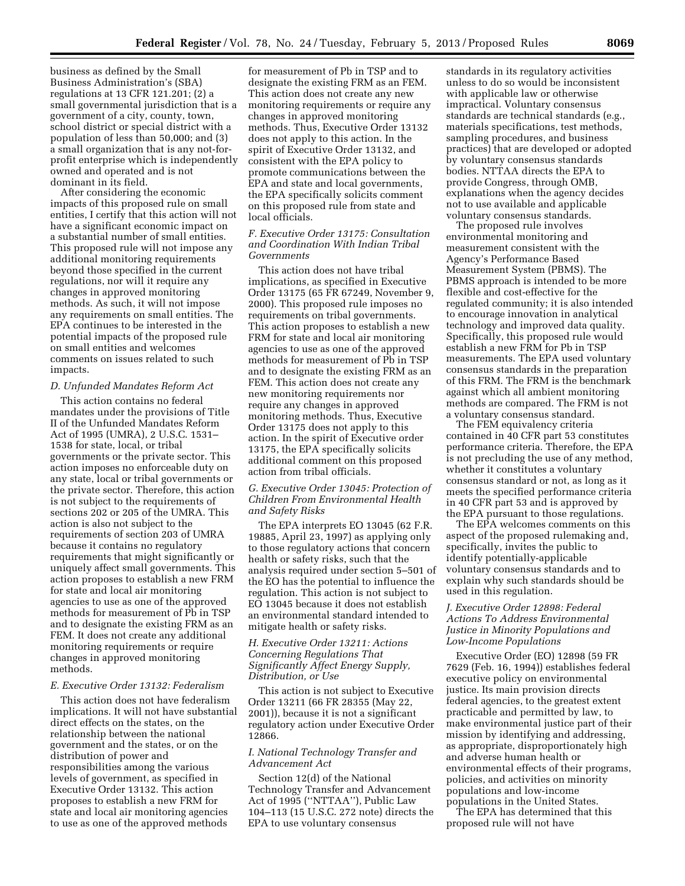business as defined by the Small Business Administration's (SBA) regulations at 13 CFR 121.201; (2) a small governmental jurisdiction that is a government of a city, county, town, school district or special district with a population of less than 50,000; and (3) a small organization that is any not-forprofit enterprise which is independently owned and operated and is not dominant in its field.

After considering the economic impacts of this proposed rule on small entities, I certify that this action will not have a significant economic impact on a substantial number of small entities. This proposed rule will not impose any additional monitoring requirements beyond those specified in the current regulations, nor will it require any changes in approved monitoring methods. As such, it will not impose any requirements on small entities. The EPA continues to be interested in the potential impacts of the proposed rule on small entities and welcomes comments on issues related to such impacts.

#### *D. Unfunded Mandates Reform Act*

This action contains no federal mandates under the provisions of Title II of the Unfunded Mandates Reform Act of 1995 (UMRA), 2 U.S.C. 1531– 1538 for state, local, or tribal governments or the private sector. This action imposes no enforceable duty on any state, local or tribal governments or the private sector. Therefore, this action is not subject to the requirements of sections 202 or 205 of the UMRA. This action is also not subject to the requirements of section 203 of UMRA because it contains no regulatory requirements that might significantly or uniquely affect small governments. This action proposes to establish a new FRM for state and local air monitoring agencies to use as one of the approved methods for measurement of Pb in TSP and to designate the existing FRM as an FEM. It does not create any additional monitoring requirements or require changes in approved monitoring methods.

#### *E. Executive Order 13132: Federalism*

This action does not have federalism implications. It will not have substantial direct effects on the states, on the relationship between the national government and the states, or on the distribution of power and responsibilities among the various levels of government, as specified in Executive Order 13132. This action proposes to establish a new FRM for state and local air monitoring agencies to use as one of the approved methods

for measurement of Pb in TSP and to designate the existing FRM as an FEM. This action does not create any new monitoring requirements or require any changes in approved monitoring methods. Thus, Executive Order 13132 does not apply to this action. In the spirit of Executive Order 13132, and consistent with the EPA policy to promote communications between the EPA and state and local governments, the EPA specifically solicits comment on this proposed rule from state and local officials.

## *F. Executive Order 13175: Consultation and Coordination With Indian Tribal Governments*

This action does not have tribal implications, as specified in Executive Order 13175 (65 FR 67249, November 9, 2000). This proposed rule imposes no requirements on tribal governments. This action proposes to establish a new FRM for state and local air monitoring agencies to use as one of the approved methods for measurement of Pb in TSP and to designate the existing FRM as an FEM. This action does not create any new monitoring requirements nor require any changes in approved monitoring methods. Thus, Executive Order 13175 does not apply to this action. In the spirit of Executive order 13175, the EPA specifically solicits additional comment on this proposed action from tribal officials.

## *G. Executive Order 13045: Protection of Children From Environmental Health and Safety Risks*

The EPA interprets EO 13045 (62 F.R. 19885, April 23, 1997) as applying only to those regulatory actions that concern health or safety risks, such that the analysis required under section 5–501 of the EO has the potential to influence the regulation. This action is not subject to EO 13045 because it does not establish an environmental standard intended to mitigate health or safety risks.

#### *H. Executive Order 13211: Actions Concerning Regulations That Significantly Affect Energy Supply, Distribution, or Use*

This action is not subject to Executive Order 13211 (66 FR 28355 (May 22, 2001)), because it is not a significant regulatory action under Executive Order 12866.

### *I. National Technology Transfer and Advancement Act*

Section 12(d) of the National Technology Transfer and Advancement Act of 1995 (''NTTAA''), Public Law 104–113 (15 U.S.C. 272 note) directs the EPA to use voluntary consensus

standards in its regulatory activities unless to do so would be inconsistent with applicable law or otherwise impractical. Voluntary consensus standards are technical standards (e.g., materials specifications, test methods, sampling procedures, and business practices) that are developed or adopted by voluntary consensus standards bodies. NTTAA directs the EPA to provide Congress, through OMB, explanations when the agency decides not to use available and applicable voluntary consensus standards.

The proposed rule involves environmental monitoring and measurement consistent with the Agency's Performance Based Measurement System (PBMS). The PBMS approach is intended to be more flexible and cost-effective for the regulated community; it is also intended to encourage innovation in analytical technology and improved data quality. Specifically, this proposed rule would establish a new FRM for Pb in TSP measurements. The EPA used voluntary consensus standards in the preparation of this FRM. The FRM is the benchmark against which all ambient monitoring methods are compared. The FRM is not a voluntary consensus standard.

The FEM equivalency criteria contained in 40 CFR part 53 constitutes performance criteria. Therefore, the EPA is not precluding the use of any method, whether it constitutes a voluntary consensus standard or not, as long as it meets the specified performance criteria in 40 CFR part 53 and is approved by the EPA pursuant to those regulations.

The EPA welcomes comments on this aspect of the proposed rulemaking and, specifically, invites the public to identify potentially-applicable voluntary consensus standards and to explain why such standards should be used in this regulation.

## *J. Executive Order 12898: Federal Actions To Address Environmental Justice in Minority Populations and Low-Income Populations*

Executive Order (EO) 12898 (59 FR 7629 (Feb. 16, 1994)) establishes federal executive policy on environmental justice. Its main provision directs federal agencies, to the greatest extent practicable and permitted by law, to make environmental justice part of their mission by identifying and addressing, as appropriate, disproportionately high and adverse human health or environmental effects of their programs, policies, and activities on minority populations and low-income populations in the United States.

The EPA has determined that this proposed rule will not have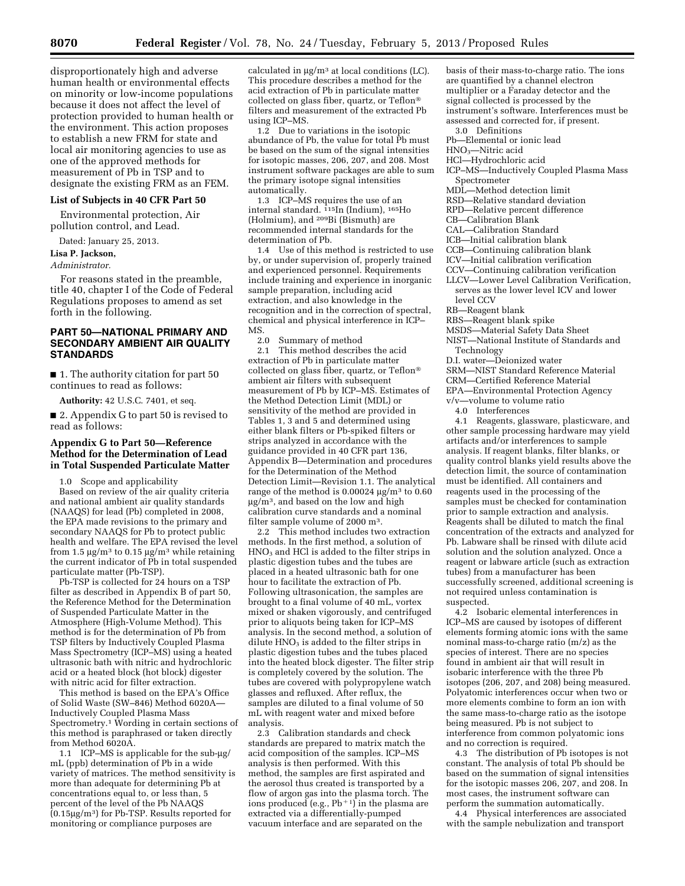disproportionately high and adverse human health or environmental effects on minority or low-income populations because it does not affect the level of protection provided to human health or the environment. This action proposes to establish a new FRM for state and local air monitoring agencies to use as one of the approved methods for measurement of Pb in TSP and to designate the existing FRM as an FEM.

#### **List of Subjects in 40 CFR Part 50**

Environmental protection, Air pollution control, and Lead.

#### Dated: January 25, 2013.

#### **Lisa P. Jackson,**

#### *Administrator.*

For reasons stated in the preamble, title 40, chapter I of the Code of Federal Regulations proposes to amend as set forth in the following.

## **PART 50—NATIONAL PRIMARY AND SECONDARY AMBIENT AIR QUALITY STANDARDS**

■ 1. The authority citation for part 50 continues to read as follows:

**Authority:** 42 U.S.C. 7401, et seq.

■ 2. Appendix G to part 50 is revised to read as follows:

### **Appendix G to Part 50—Reference Method for the Determination of Lead in Total Suspended Particulate Matter**

1.0 Scope and applicability

Based on review of the air quality criteria and national ambient air quality standards (NAAQS) for lead (Pb) completed in 2008, the EPA made revisions to the primary and secondary NAAQS for Pb to protect public health and welfare. The EPA revised the level from 1.5  $\mu$ g/m<sup>3</sup> to 0.15  $\mu$ g/m<sup>3</sup> while retaining the current indicator of Pb in total suspended particulate matter (Pb-TSP).

Pb-TSP is collected for 24 hours on a TSP filter as described in Appendix B of part 50, the Reference Method for the Determination of Suspended Particulate Matter in the Atmosphere (High-Volume Method). This method is for the determination of Pb from TSP filters by Inductively Coupled Plasma Mass Spectrometry (ICP–MS) using a heated ultrasonic bath with nitric and hydrochloric acid or a heated block (hot block) digester with nitric acid for filter extraction.

This method is based on the EPA's Office of Solid Waste (SW–846) Method 6020A— Inductively Coupled Plasma Mass Spectrometry.1 Wording in certain sections of this method is paraphrased or taken directly from Method 6020A.

1.1 ICP–MS is applicable for the sub-ug/ mL (ppb) determination of Pb in a wide variety of matrices. The method sensitivity is more than adequate for determining Pb at concentrations equal to, or less than, 5 percent of the level of the Pb NAAQS  $(0.15 \mu g/m^3)$  for Pb-TSP. Results reported for monitoring or compliance purposes are

calculated in  $\mu$ g/m<sup>3</sup> at local conditions (LC). This procedure describes a method for the acid extraction of Pb in particulate matter collected on glass fiber, quartz, or Teflon® filters and measurement of the extracted Pb using ICP–MS.

1.2 Due to variations in the isotopic abundance of Pb, the value for total Pb must be based on the sum of the signal intensities for isotopic masses, 206, 207, and 208. Most instrument software packages are able to sum the primary isotope signal intensities automatically.

1.3 ICP–MS requires the use of an internal standard. <sup>115</sup>In (Indium), <sup>165</sup>Ho (Holmium), and 209Bi (Bismuth) are recommended internal standards for the determination of Pb.

1.4 Use of this method is restricted to use by, or under supervision of, properly trained and experienced personnel. Requirements include training and experience in inorganic sample preparation, including acid extraction, and also knowledge in the recognition and in the correction of spectral, chemical and physical interference in ICP–  $M$ S.<br>2.0

Summary of method

2.1 This method describes the acid extraction of Pb in particulate matter collected on glass fiber, quartz, or Teflon® ambient air filters with subsequent measurement of Pb by ICP–MS. Estimates of the Method Detection Limit (MDL) or sensitivity of the method are provided in Tables 1, 3 and 5 and determined using either blank filters or Pb-spiked filters or strips analyzed in accordance with the guidance provided in 40 CFR part 136, Appendix B—Determination and procedures for the Determination of the Method Detection Limit—Revision 1.1. The analytical range of the method is  $0.00024 \text{ µg/m}^3$  to  $0.60$  $\mu$ g/m<sup>3</sup>, and based on the low and high calibration curve standards and a nominal filter sample volume of 2000 m3.

2.2 This method includes two extraction methods. In the first method, a solution of  $HNO<sub>3</sub>$  and HCl is added to the filter strips in plastic digestion tubes and the tubes are placed in a heated ultrasonic bath for one hour to facilitate the extraction of Pb. Following ultrasonication, the samples are brought to a final volume of 40 mL, vortex mixed or shaken vigorously, and centrifuged prior to aliquots being taken for ICP–MS analysis. In the second method, a solution of dilute HNO<sub>3</sub> is added to the filter strips in plastic digestion tubes and the tubes placed into the heated block digester. The filter strip is completely covered by the solution. The tubes are covered with polypropylene watch glasses and refluxed. After reflux, the samples are diluted to a final volume of 50 mL with reagent water and mixed before analysis.

2.3 Calibration standards and check standards are prepared to matrix match the acid composition of the samples. ICP–MS analysis is then performed. With this method, the samples are first aspirated and the aerosol thus created is transported by a flow of argon gas into the plasma torch. The ions produced (e.g.,  $Pb+1$ ) in the plasma are extracted via a differentially-pumped vacuum interface and are separated on the

basis of their mass-to-charge ratio. The ions are quantified by a channel electron multiplier or a Faraday detector and the signal collected is processed by the instrument's software. Interferences must be assessed and corrected for, if present.

3.0 Definitions

Pb—Elemental or ionic lead

HNO3—Nitric acid

- HCl—Hydrochloric acid
- ICP–MS—Inductively Coupled Plasma Mass Spectrometer
- MDL—Method detection limit
- RSD—Relative standard deviation
- RPD—Relative percent difference
- CB—Calibration Blank
- CAL—Calibration Standard
- ICB—Initial calibration blank
- CCB—Continuing calibration blank
- ICV—Initial calibration verification
- CCV—Continuing calibration verification
- LLCV—Lower Level Calibration Verification, serves as the lower level ICV and lower
- level CCV
- RB—Reagent blank
- RBS—Reagent blank spike
- MSDS—Material Safety Data Sheet
- NIST—National Institute of Standards and Technology
- D.I. water—Deionized water
- SRM—NIST Standard Reference Material
- CRM—Certified Reference Material
- EPA—Environmental Protection Agency
- v/v—volume to volume ratio
	- 4.0 Interferences
	-

4.1 Reagents, glassware, plasticware, and other sample processing hardware may yield artifacts and/or interferences to sample analysis. If reagent blanks, filter blanks, or quality control blanks yield results above the detection limit, the source of contamination must be identified. All containers and reagents used in the processing of the samples must be checked for contamination prior to sample extraction and analysis. Reagents shall be diluted to match the final concentration of the extracts and analyzed for Pb. Labware shall be rinsed with dilute acid solution and the solution analyzed. Once a reagent or labware article (such as extraction tubes) from a manufacturer has been successfully screened, additional screening is not required unless contamination is suspected.

4.2 Isobaric elemental interferences in ICP–MS are caused by isotopes of different elements forming atomic ions with the same nominal mass-to-charge ratio (m/z) as the species of interest. There are no species  $f_{\text{ound}}$  in ambient air that will result in isobaric interference with the three Pb isotopes (206, 207, and 208) being measured. Polyatomic interferences occur when two or more elements combine to form an ion with the same mass-to-charge ratio as the isotope being measured. Pb is not subject to interference from common polyatomic ions and no correction is required.

4.3 The distribution of Pb isotopes is not constant. The analysis of total Pb should be based on the summation of signal intensities for the isotopic masses 206, 207, and 208. In most cases, the instrument software can perform the summation automatically.

4.4 Physical interferences are associated with the sample nebulization and transport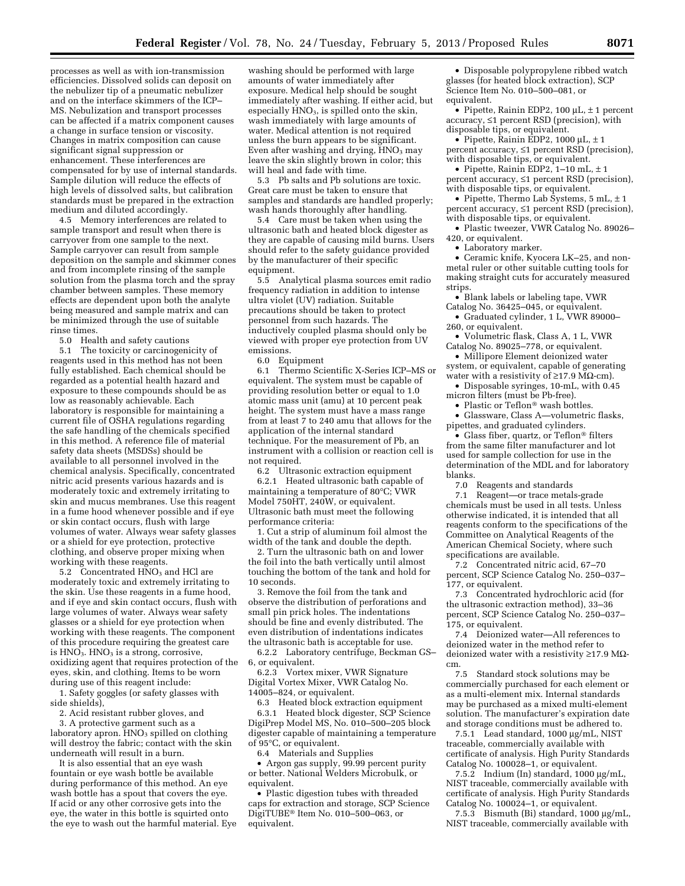processes as well as with ion-transmission efficiencies. Dissolved solids can deposit on the nebulizer tip of a pneumatic nebulizer and on the interface skimmers of the ICP– MS. Nebulization and transport processes can be affected if a matrix component causes a change in surface tension or viscosity. Changes in matrix composition can cause significant signal suppression or enhancement. These interferences are compensated for by use of internal standards. Sample dilution will reduce the effects of high levels of dissolved salts, but calibration standards must be prepared in the extraction medium and diluted accordingly.

4.5 Memory interferences are related to sample transport and result when there is carryover from one sample to the next. Sample carryover can result from sample deposition on the sample and skimmer cones and from incomplete rinsing of the sample solution from the plasma torch and the spray chamber between samples. These memory effects are dependent upon both the analyte being measured and sample matrix and can be minimized through the use of suitable rinse times.

5.0 Health and safety cautions

5.1 The toxicity or carcinogenicity of reagents used in this method has not been fully established. Each chemical should be regarded as a potential health hazard and exposure to these compounds should be as low as reasonably achievable. Each laboratory is responsible for maintaining a current file of OSHA regulations regarding the safe handling of the chemicals specified in this method. A reference file of material safety data sheets (MSDSs) should be available to all personnel involved in the chemical analysis. Specifically, concentrated nitric acid presents various hazards and is moderately toxic and extremely irritating to skin and mucus membranes. Use this reagent in a fume hood whenever possible and if eye or skin contact occurs, flush with large volumes of water. Always wear safety glasses or a shield for eye protection, protective clothing, and observe proper mixing when working with these reagents.

5.2 Concentrated  $HNO<sub>3</sub>$  and  $HCl$  are moderately toxic and extremely irritating to the skin. Use these reagents in a fume hood, and if eye and skin contact occurs, flush with large volumes of water. Always wear safety glasses or a shield for eye protection when working with these reagents. The component of this procedure requiring the greatest care is  $HNO<sub>3</sub>$ .  $HNO<sub>3</sub>$  is a strong, corrosive, oxidizing agent that requires protection of the eyes, skin, and clothing. Items to be worn during use of this reagent include:

1. Safety goggles (or safety glasses with side shields),

2. Acid resistant rubber gloves, and

3. A protective garment such as a laboratory apron.  $HNO<sub>3</sub>$  spilled on clothing will destroy the fabric; contact with the skin underneath will result in a burn.

It is also essential that an eye wash fountain or eye wash bottle be available during performance of this method. An eye wash bottle has a spout that covers the eye. If acid or any other corrosive gets into the eye, the water in this bottle is squirted onto the eye to wash out the harmful material. Eye

washing should be performed with large amounts of water immediately after exposure. Medical help should be sought immediately after washing. If either acid, but especially HNO3, is spilled onto the skin, wash immediately with large amounts of water. Medical attention is not required unless the burn appears to be significant. Even after washing and drying,  $\text{HNO}_3$  may leave the skin slightly brown in color; this will heal and fade with time.

5.3 Pb salts and Pb solutions are toxic. Great care must be taken to ensure that samples and standards are handled properly; wash hands thoroughly after handling.

5.4 Care must be taken when using the ultrasonic bath and heated block digester as they are capable of causing mild burns. Users should refer to the safety guidance provided by the manufacturer of their specific equipment.

5.5 Analytical plasma sources emit radio frequency radiation in addition to intense ultra violet (UV) radiation. Suitable precautions should be taken to protect personnel from such hazards. The inductively coupled plasma should only be viewed with proper eye protection from UV emissions.

6.0 Equipment

6.1 Thermo Scientific X-Series ICP–MS or equivalent. The system must be capable of providing resolution better or equal to 1.0 atomic mass unit (amu) at 10 percent peak height. The system must have a mass range from at least 7 to 240 amu that allows for the application of the internal standard technique. For the measurement of Pb, an instrument with a collision or reaction cell is not required.

6.2 Ultrasonic extraction equipment 6.2.1 Heated ultrasonic bath capable of maintaining a temperature of 80°C; VWR Model 750HT, 240W, or equivalent. Ultrasonic bath must meet the following performance criteria:

1. Cut a strip of aluminum foil almost the width of the tank and double the depth.

2. Turn the ultrasonic bath on and lower the foil into the bath vertically until almost touching the bottom of the tank and hold for 10 seconds.

3. Remove the foil from the tank and observe the distribution of perforations and small pin prick holes. The indentations should be fine and evenly distributed. The even distribution of indentations indicates the ultrasonic bath is acceptable for use.

6.2.2 Laboratory centrifuge, Beckman GS– 6, or equivalent.

6.2.3 Vortex mixer, VWR Signature Digital Vortex Mixer, VWR Catalog No. 14005–824, or equivalent.

6.3 Heated block extraction equipment 6.3.1 Heated block digester, SCP Science DigiPrep Model MS, No. 010–500–205 block digester capable of maintaining a temperature of 95°C, or equivalent.

6.4 Materials and Supplies

• Argon gas supply, 99.99 percent purity or better. National Welders Microbulk, or equivalent.

• Plastic digestion tubes with threaded caps for extraction and storage, SCP Science DigiTUBE® Item No. 010–500–063, or equivalent.

• Disposable polypropylene ribbed watch glasses (for heated block extraction), SCP Science Item No. 010–500–081, or equivalent.

• Pipette, Rainin EDP2, 100  $\mu$ L,  $\pm$  1 percent accuracy, ≤1 percent RSD (precision), with disposable tips, or equivalent.

• Pipette, Rainin EDP2, 1000  $\mu$ L,  $\pm$  1 percent accuracy, ≤1 percent RSD (precision), with disposable tips, or equivalent.

• Pipette, Rainin EDP2,  $1-10$  mL,  $\pm 1$ percent accuracy, ≤1 percent RSD (precision), with disposable tips, or equivalent.

• Pipette, Thermo Lab Systems,  $5 \text{ mL}, \pm 1$ percent accuracy, ≤1 percent RSD (precision), with disposable tips, or equivalent.

• Plastic tweezer, VWR Catalog No. 89026– 420, or equivalent.

• Laboratory marker.

• Ceramic knife, Kyocera LK–25, and nonmetal ruler or other suitable cutting tools for making straight cuts for accurately measured strips.

• Blank labels or labeling tape, VWR Catalog No. 36425–045, or equivalent.

• Graduated cylinder, 1 L, VWR 89000– 260, or equivalent.

• Volumetric flask, Class A, 1 L, VWR Catalog No. 89025–778, or equivalent.

• Millipore Element deionized water system, or equivalent, capable of generating

water with a resistivity of  $\geq$ 17.9 M $\Omega$ -cm). • Disposable syringes, 10-mL, with 0.45

micron filters (must be Pb-free). • Plastic or Teflon® wash bottles.

• Glassware, Class A—volumetric flasks, pipettes, and graduated cylinders.

• Glass fiber, quartz, or Teflon® filters from the same filter manufacturer and lot used for sample collection for use in the determination of the MDL and for laboratory blanks.

7.0 Reagents and standards

7.1 Reagent—or trace metals-grade chemicals must be used in all tests. Unless otherwise indicated, it is intended that all reagents conform to the specifications of the Committee on Analytical Reagents of the American Chemical Society, where such specifications are available.

7.2 Concentrated nitric acid, 67–70 percent, SCP Science Catalog No. 250–037– 177, or equivalent.

7.3 Concentrated hydrochloric acid (for the ultrasonic extraction method), 33–36 percent, SCP Science Catalog No. 250–037– 175, or equivalent.

7.4 Deionized water—All references to deionized water in the method refer to deionized water with a resistivity  $\geq$ 17.9 MQcm.

7.5 Standard stock solutions may be commercially purchased for each element or as a multi-element mix. Internal standards may be purchased as a mixed multi-element solution. The manufacturer's expiration date and storage conditions must be adhered to.

7.5.1 Lead standard, 1000 µg/mL, NIST traceable, commercially available with certificate of analysis. High Purity Standards Catalog No. 100028–1, or equivalent.

7.5.2 Indium (In) standard, 1000  $\mu$ g/mL, NIST traceable, commercially available with certificate of analysis. High Purity Standards Catalog No. 100024–1, or equivalent.

7.5.3 Bismuth (Bi) standard,  $1000 \mu g/mL$ , NIST traceable, commercially available with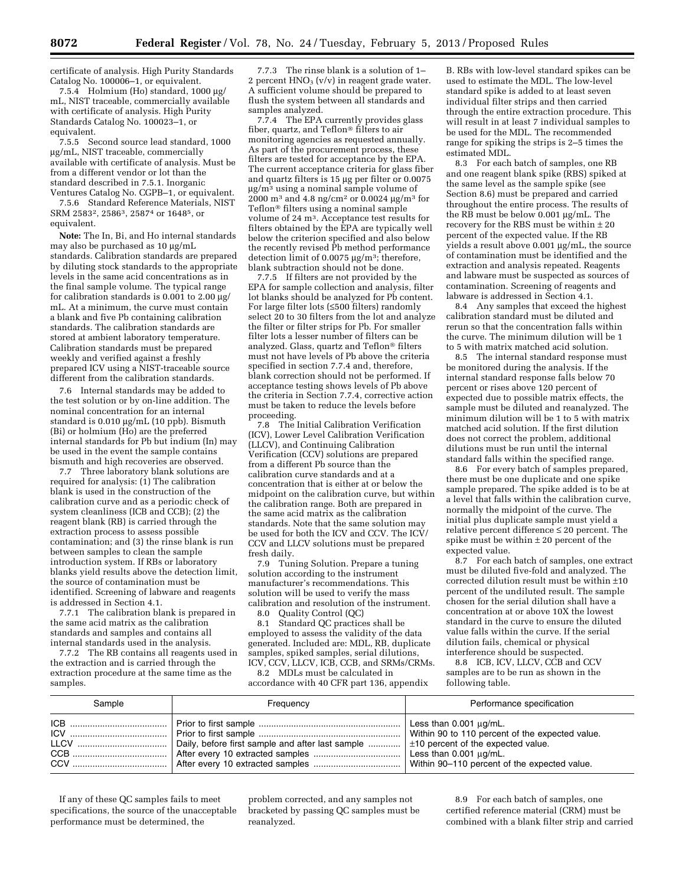certificate of analysis. High Purity Standards Catalog No. 100006–1, or equivalent.

7.5.4 Holmium (Ho) standard,  $1000 \mu$ g/ mL, NIST traceable, commercially available with certificate of analysis. High Purity Standards Catalog No. 100023–1, or equivalent.

7.5.5 Second source lead standard, 1000 mg/mL, NIST traceable, commercially available with certificate of analysis. Must be from a different vendor or lot than the standard described in 7.5.1. Inorganic Ventures Catalog No. CGPB–1, or equivalent.

7.5.6 Standard Reference Materials, NIST SRM 25832, 25863, 25874 or 16485, or equivalent.

**Note:** The In, Bi, and Ho internal standards may also be purchased as 10 µg/mL standards. Calibration standards are prepared by diluting stock standards to the appropriate levels in the same acid concentrations as in the final sample volume. The typical range for calibration standards is  $0.001$  to  $2.00 \mu$ g/ mL. At a minimum, the curve must contain a blank and five Pb containing calibration standards. The calibration standards are stored at ambient laboratory temperature. Calibration standards must be prepared weekly and verified against a freshly prepared ICV using a NIST-traceable source different from the calibration standards.

7.6 Internal standards may be added to the test solution or by on-line addition. The nominal concentration for an internal standard is  $0.010 \mu g/mL$  (10 ppb). Bismuth (Bi) or holmium (Ho) are the preferred internal standards for Pb but indium (In) may be used in the event the sample contains bismuth and high recoveries are observed.

7.7 Three laboratory blank solutions are required for analysis: (1) The calibration blank is used in the construction of the calibration curve and as a periodic check of system cleanliness (ICB and CCB); (2) the reagent blank (RB) is carried through the extraction process to assess possible contamination; and (3) the rinse blank is run between samples to clean the sample introduction system. If RBs or laboratory blanks yield results above the detection limit, the source of contamination must be identified. Screening of labware and reagents is addressed in Section 4.1.

7.7.1 The calibration blank is prepared in the same acid matrix as the calibration standards and samples and contains all internal standards used in the analysis.

7.7.2 The RB contains all reagents used in the extraction and is carried through the extraction procedure at the same time as the samples.

7.7.3 The rinse blank is a solution of 1– 2 percent  $HNO<sub>3</sub> (v/v)$  in reagent grade water. A sufficient volume should be prepared to flush the system between all standards and samples analyzed.

7.7.4 The EPA currently provides glass fiber, quartz, and Teflon® filters to air monitoring agencies as requested annually. As part of the procurement process, these filters are tested for acceptance by the EPA. The current acceptance criteria for glass fiber and quartz filters is  $15 \mu g$  per filter or  $0.0075$  $\mu$ g/m<sup>3</sup> using a nominal sample volume of 2000 m<sup>3</sup> and 4.8 ng/cm<sup>2</sup> or 0.0024 µg/m<sup>3</sup> for Teflon® filters using a nominal sample volume of 24 m3. Acceptance test results for filters obtained by the EPA are typically well below the criterion specified and also below the recently revised Pb method performance detection limit of 0.0075  $\mu$ g/m<sup>3</sup>; therefore, blank subtraction should not be done.

7.7.5 If filters are not provided by the EPA for sample collection and analysis, filter lot blanks should be analyzed for Pb content. For large filter lots (≤500 filters) randomly select  $20$  to 30 filters from the lot and analyze the filter or filter strips for Pb. For smaller filter lots a lesser number of filters can be analyzed. Glass, quartz and Teflon® filters must not have levels of Pb above the criteria specified in section 7.7.4 and, therefore, blank correction should not be performed. If acceptance testing shows levels of Pb above the criteria in Section 7.7.4, corrective action must be taken to reduce the levels before proceeding.

7.8 The Initial Calibration Verification (ICV), Lower Level Calibration Verification (LLCV), and Continuing Calibration Verification (CCV) solutions are prepared from a different Pb source than the calibration curve standards and at a concentration that is either at or below the midpoint on the calibration curve, but within the calibration range. Both are prepared in the same acid matrix as the calibration standards. Note that the same solution may be used for both the ICV and CCV. The ICV/ CCV and LLCV solutions must be prepared fresh daily.

7.9 Tuning Solution. Prepare a tuning solution according to the instrument manufacturer's recommendations. This solution will be used to verify the mass calibration and resolution of the instrument.

8.0 Quality Control (QC)<br>8.1 Standard OC practice

Standard QC practices shall be employed to assess the validity of the data generated. Included are: MDL, RB, duplicate samples, spiked samples, serial dilutions, ICV, CCV, LLCV, ICB, CCB, and SRMs/CRMs.

8.2 MDLs must be calculated in accordance with 40 CFR part 136, appendix

B. RBs with low-level standard spikes can be used to estimate the MDL. The low-level standard spike is added to at least seven individual filter strips and then carried through the entire extraction procedure. This will result in at least 7 individual samples to be used for the MDL. The recommended range for spiking the strips is 2–5 times the estimated MDL.

8.3 For each batch of samples, one RB and one reagent blank spike (RBS) spiked at the same level as the sample spike (see Section 8.6) must be prepared and carried throughout the entire process. The results of the RB must be below 0.001 µg/mL. The recovery for the RBS must be within  $\pm\,20$ percent of the expected value. If the RB  $\bar{y}$ ields a result above 0.001  $\mu$ g/mL, the source of contamination must be identified and the extraction and analysis repeated. Reagents and labware must be suspected as sources of contamination. Screening of reagents and labware is addressed in Section 4.1.

8.4 Any samples that exceed the highest calibration standard must be diluted and rerun so that the concentration falls within the curve. The minimum dilution will be 1 to 5 with matrix matched acid solution.

8.5 The internal standard response must be monitored during the analysis. If the internal standard response falls below 70 percent or rises above 120 percent of expected due to possible matrix effects, the sample must be diluted and reanalyzed. The minimum dilution will be 1 to 5 with matrix matched acid solution. If the first dilution does not correct the problem, additional dilutions must be run until the internal standard falls within the specified range.

8.6 For every batch of samples prepared, there must be one duplicate and one spike sample prepared. The spike added is to be at a level that falls within the calibration curve, normally the midpoint of the curve. The initial plus duplicate sample must yield a relative percent difference ≤ 20 percent. The spike must be within  $\pm 20$  percent of the expected value.

8.7 For each batch of samples, one extract must be diluted five-fold and analyzed. The corrected dilution result must be within ±10 percent of the undiluted result. The sample chosen for the serial dilution shall have a concentration at or above 10X the lowest standard in the curve to ensure the diluted value falls within the curve. If the serial dilution fails, chemical or physical interference should be suspected.

8.8 ICB, ICV, LLCV, CCB and CCV samples are to be run as shown in the following table.

| Sample | Frequency | Performance specification |
|--------|-----------|---------------------------|
|        |           |                           |

If any of these QC samples fails to meet specifications, the source of the unacceptable performance must be determined, the

problem corrected, and any samples not bracketed by passing QC samples must be reanalyzed.

8.9 For each batch of samples, one certified reference material (CRM) must be combined with a blank filter strip and carried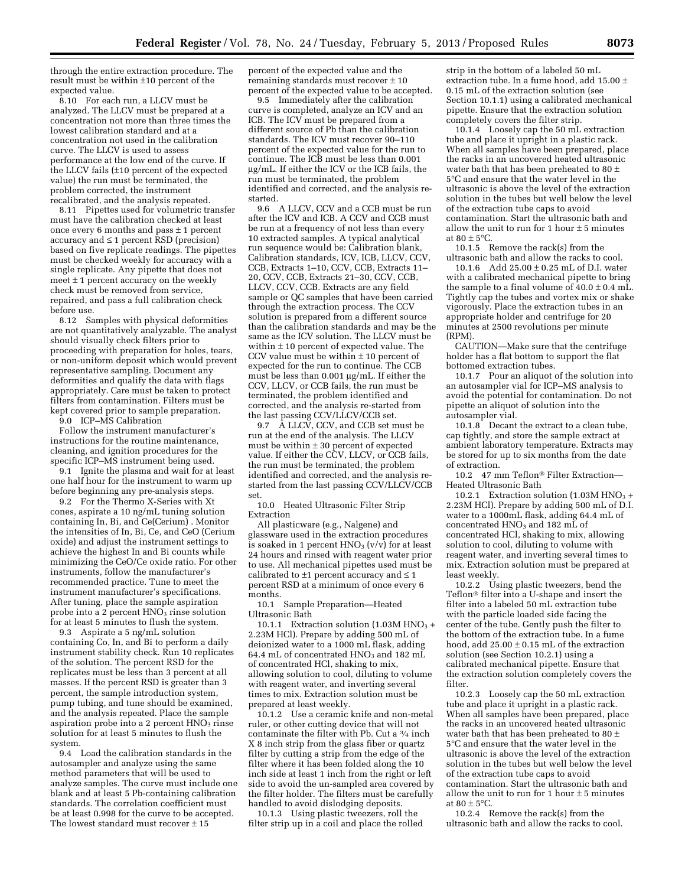through the entire extraction procedure. The result must be within ±10 percent of the expected value.

8.10 For each run, a LLCV must be analyzed. The LLCV must be prepared at a concentration not more than three times the lowest calibration standard and at a concentration not used in the calibration curve. The LLCV is used to assess performance at the low end of the curve. If the LLCV fails (±10 percent of the expected value) the run must be terminated, the problem corrected, the instrument recalibrated, and the analysis repeated.

8.11 Pipettes used for volumetric transfer must have the calibration checked at least once every 6 months and pass  $\pm$  1 percent accuracy and ≤ 1 percent RSD (precision) based on five replicate readings. The pipettes must be checked weekly for accuracy with a single replicate. Any pipette that does not meet  $\pm$  1 percent accuracy on the weekly check must be removed from service, repaired, and pass a full calibration check before use.

8.12 Samples with physical deformities are not quantitatively analyzable. The analyst should visually check filters prior to proceeding with preparation for holes, tears, or non-uniform deposit which would prevent representative sampling. Document any deformities and qualify the data with flags appropriately. Care must be taken to protect filters from contamination. Filters must be kept covered prior to sample preparation.

9.0 ICP–MS Calibration

Follow the instrument manufacturer's instructions for the routine maintenance, cleaning, and ignition procedures for the specific ICP–MS instrument being used.

9.1 Ignite the plasma and wait for at least one half hour for the instrument to warm up before beginning any pre-analysis steps.

9.2 For the Thermo X-Series with Xt cones, aspirate a 10 ng/mL tuning solution containing In, Bi, and Ce(Cerium) . Monitor the intensities of In, Bi, Ce, and CeO (Cerium oxide) and adjust the instrument settings to achieve the highest In and Bi counts while minimizing the CeO/Ce oxide ratio. For other instruments, follow the manufacturer's recommended practice. Tune to meet the instrument manufacturer's specifications. After tuning, place the sample aspiration probe into a 2 percent  $HNO<sub>3</sub>$  rinse solution for at least 5 minutes to flush the system.

9.3 Aspirate a 5 ng/mL solution containing Co, In, and Bi to perform a daily instrument stability check. Run 10 replicates of the solution. The percent RSD for the replicates must be less than 3 percent at all masses. If the percent RSD is greater than 3 percent, the sample introduction system, pump tubing, and tune should be examined, and the analysis repeated. Place the sample aspiration probe into a  $2$  percent  $HNO<sub>3</sub>$  rinse solution for at least 5 minutes to flush the system.

9.4 Load the calibration standards in the autosampler and analyze using the same method parameters that will be used to analyze samples. The curve must include one blank and at least 5 Pb-containing calibration standards. The correlation coefficient must be at least 0.998 for the curve to be accepted. The lowest standard must recover  $\pm 15$ 

percent of the expected value and the remaining standards must recover ± 10 percent of the expected value to be accepted.

9.5 Immediately after the calibration curve is completed, analyze an ICV and an ICB. The ICV must be prepared from a different source of Pb than the calibration standards. The ICV must recover 90–110 percent of the expected value for the run to continue. The ICB must be less than 0.001 mg/mL. If either the ICV or the ICB fails, the run must be terminated, the problem identified and corrected, and the analysis restarted.<br>9.6

9.6 A LLCV, CCV and a CCB must be run after the ICV and ICB. A CCV and CCB must be run at a frequency of not less than every 10 extracted samples. A typical analytical run sequence would be: Calibration blank, Calibration standards, ICV, ICB, LLCV, CCV, CCB, Extracts 1–10, CCV, CCB, Extracts 11– 20, CCV, CCB, Extracts 21–30, CCV, CCB, LLCV, CCV, CCB. Extracts are any field sample or QC samples that have been carried through the extraction process. The CCV solution is prepared from a different source than the calibration standards and may be the same as the ICV solution. The LLCV must be within  $\pm$  10 percent of expected value. The CCV value must be within  $\pm 10$  percent of expected for the run to continue. The CCB must be less than  $0.001 \mu g/mL$ . If either the CCV, LLCV, or CCB fails, the run must be terminated, the problem identified and corrected, and the analysis re-started from the last passing CCV/LLCV/CCB set.

9.7 A LLCV, CCV, and CCB set must be run at the end of the analysis. The LLCV must be within  $\pm 30$  percent of expected value. If either the CCV, LLCV, or CCB fails, the run must be terminated, the problem identified and corrected, and the analysis restarted from the last passing CCV/LLCV/CCB set.

10.0 Heated Ultrasonic Filter Strip Extraction

All plasticware (e.g., Nalgene) and glassware used in the extraction procedures is soaked in 1 percent  $HNO<sub>3</sub> (v/v)$  for at least 24 hours and rinsed with reagent water prior to use. All mechanical pipettes used must be calibrated to  $\pm 1$  percent accuracy and  $\leq 1$ percent RSD at a minimum of once every 6 months.

10.1 Sample Preparation—Heated Ultrasonic Bath

10.1.1 Extraction solution (1.03M HNO<sub>3</sub> + 2.23M HCl). Prepare by adding 500 mL of deionized water to a 1000 mL flask, adding 64.4 mL of concentrated  $HNO<sub>3</sub>$  and 182 mL of concentrated HCl, shaking to mix, allowing solution to cool, diluting to volume with reagent water, and inverting several times to mix. Extraction solution must be prepared at least weekly.

10.1.2 Use a ceramic knife and non-metal ruler, or other cutting device that will not contaminate the filter with Pb. Cut a 3⁄4 inch X 8 inch strip from the glass fiber or quartz filter by cutting a strip from the edge of the filter where it has been folded along the 10 inch side at least 1 inch from the right or left side to avoid the un-sampled area covered by the filter holder. The filters must be carefully handled to avoid dislodging deposits.

10.1.3 Using plastic tweezers, roll the filter strip up in a coil and place the rolled

strip in the bottom of a labeled 50 mL extraction tube. In a fume hood, add 15.00  $\pm$ 0.15 mL of the extraction solution (see Section 10.1.1) using a calibrated mechanical pipette. Ensure that the extraction solution completely covers the filter strip.

10.1.4 Loosely cap the 50 mL extraction tube and place it upright in a plastic rack. When all samples have been prepared, place the racks in an uncovered heated ultrasonic water bath that has been preheated to 80 ± 5°C and ensure that the water level in the ultrasonic is above the level of the extraction solution in the tubes but well below the level of the extraction tube caps to avoid contamination. Start the ultrasonic bath and allow the unit to run for 1 hour  $\pm$  5 minutes at 80  $\pm$  5°C.

10.1.5 Remove the rack(s) from the ultrasonic bath and allow the racks to cool.

10.1.6 Add 25.00 ± 0.25 mL of D.I. water with a calibrated mechanical pipette to bring the sample to a final volume of  $40.0 \pm 0.4$  mL. Tightly cap the tubes and vortex mix or shake vigorously. Place the extraction tubes in an appropriate holder and centrifuge for 20 minutes at 2500 revolutions per minute (RPM).

CAUTION—Make sure that the centrifuge holder has a flat bottom to support the flat bottomed extraction tubes.

10.1.7 Pour an aliquot of the solution into an autosampler vial for ICP–MS analysis to avoid the potential for contamination. Do not pipette an aliquot of solution into the autosampler vial.

10.1.8 Decant the extract to a clean tube, cap tightly, and store the sample extract at ambient laboratory temperature. Extracts may be stored for up to six months from the date of extraction.

10.2 47 mm Teflon® Filter Extraction— Heated Ultrasonic Bath

10.2.1 Extraction solution  $(1.03M HNO<sub>3</sub> +$ 2.23M HCl). Prepare by adding 500 mL of D.I. water to a 1000mL flask, adding 64.4 mL of concentrated HNO<sub>3</sub> and 182 mL of concentrated HCl, shaking to mix, allowing solution to cool, diluting to volume with reagent water, and inverting several times to mix. Extraction solution must be prepared at least weekly.

10.2.2 Using plastic tweezers, bend the Teflon® filter into a U-shape and insert the filter into a labeled 50 mL extraction tube with the particle loaded side facing the center of the tube. Gently push the filter to the bottom of the extraction tube. In a fume hood, add  $25.00 \pm 0.15$  mL of the extraction solution (see Section 10.2.1) using a calibrated mechanical pipette. Ensure that the extraction solution completely covers the filter.

10.2.3 Loosely cap the 50 mL extraction tube and place it upright in a plastic rack. When all samples have been prepared, place the racks in an uncovered heated ultrasonic water bath that has been preheated to 80 ± 5°C and ensure that the water level in the ultrasonic is above the level of the extraction solution in the tubes but well below the level of the extraction tube caps to avoid contamination. Start the ultrasonic bath and allow the unit to run for 1 hour  $\pm$  5 minutes at  $80 \pm 5^{\circ}$ C.

10.2.4 Remove the rack(s) from the ultrasonic bath and allow the racks to cool.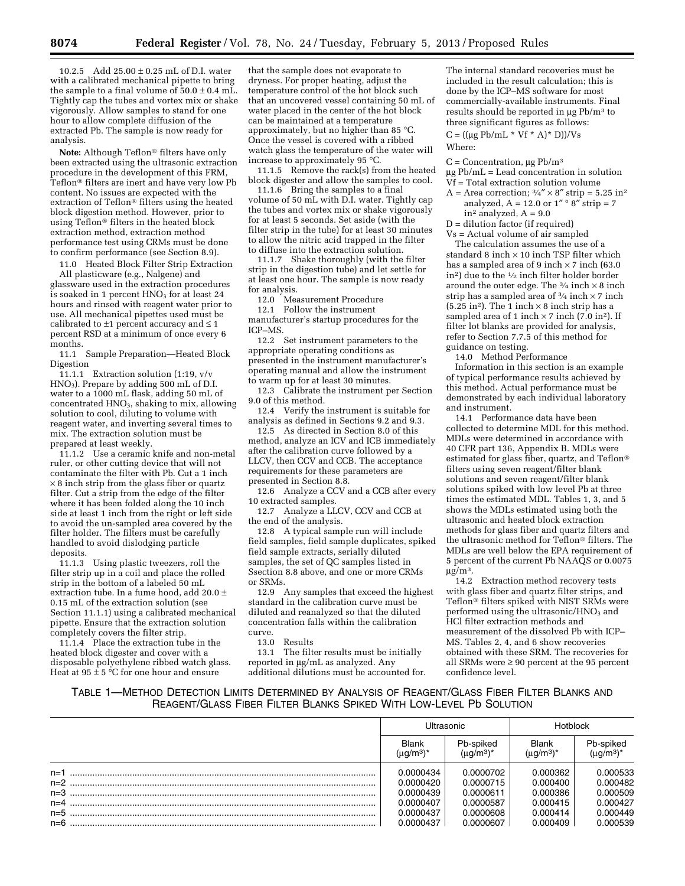10.2.5 Add 25.00 ± 0.25 mL of D.I. water with a calibrated mechanical pipette to bring the sample to a final volume of  $50.0 \pm 0.4$  mL. Tightly cap the tubes and vortex mix or shake vigorously. Allow samples to stand for one hour to allow complete diffusion of the extracted Pb. The sample is now ready for analysis.

**Note:** Although Teflon® filters have only been extracted using the ultrasonic extraction procedure in the development of this FRM, Teflon® filters are inert and have very low Pb content. No issues are expected with the extraction of Teflon® filters using the heated block digestion method. However, prior to using Teflon® filters in the heated block extraction method, extraction method performance test using CRMs must be done to confirm performance (see Section 8.9).

11.0 Heated Block Filter Strip Extraction

All plasticware (e.g., Nalgene) and glassware used in the extraction procedures is soaked in 1 percent  $HNO<sub>3</sub>$  for at least 24 hours and rinsed with reagent water prior to use. All mechanical pipettes used must be calibrated to  $\pm 1$  percent accuracy and  $\leq 1$ percent RSD at a minimum of once every 6 months.

11.1 Sample Preparation—Heated Block Digestion

11.1.1 Extraction solution (1:19, v/v  $HNO<sub>3</sub>$ ). Prepare by adding 500 mL of D.I. water to a 1000 mL flask, adding 50 mL of concentrated HNO<sub>3</sub>, shaking to mix, allowing solution to cool, diluting to volume with reagent water, and inverting several times to mix. The extraction solution must be prepared at least weekly.

11.1.2 Use a ceramic knife and non-metal ruler, or other cutting device that will not contaminate the filter with Pb. Cut a 1 inch  $\times$  8 inch strip from the glass fiber or quartz filter. Cut a strip from the edge of the filter where it has been folded along the 10 inch side at least 1 inch from the right or left side to avoid the un-sampled area covered by the filter holder. The filters must be carefully handled to avoid dislodging particle deposits.

11.1.3 Using plastic tweezers, roll the filter strip up in a coil and place the rolled strip in the bottom of a labeled 50 mL extraction tube. In a fume hood, add 20.0 ± 0.15 mL of the extraction solution (see Section 11.1.1) using a calibrated mechanical pipette. Ensure that the extraction solution completely covers the filter strip.

11.1.4 Place the extraction tube in the heated block digester and cover with a disposable polyethylene ribbed watch glass. Heat at  $95 \pm 5$  °C for one hour and ensure

that the sample does not evaporate to dryness. For proper heating, adjust the temperature control of the hot block such that an uncovered vessel containing 50 mL of water placed in the center of the hot block can be maintained at a temperature approximately, but no higher than 85 °C. Once the vessel is covered with a ribbed watch glass the temperature of the water will increase to approximately 95 °C.

11.1.5 Remove the rack(s) from the heated block digester and allow the samples to cool.

11.1.6 Bring the samples to a final volume of 50 mL with D.I. water. Tightly cap the tubes and vortex mix or shake vigorously for at least 5 seconds. Set aside (with the filter strip in the tube) for at least 30 minutes to allow the nitric acid trapped in the filter to diffuse into the extraction solution.

11.1.7 Shake thoroughly (with the filter strip in the digestion tube) and let settle for at least one hour. The sample is now ready for analysis.

12.0 Measurement Procedure

12.1 Follow the instrument manufacturer's startup procedures for the ICP–MS.

12.2 Set instrument parameters to the appropriate operating conditions as presented in the instrument manufacturer's operating manual and allow the instrument to warm up for at least 30 minutes.

12.3 Calibrate the instrument per Section 9.0 of this method.

12.4 Verify the instrument is suitable for analysis as defined in Sections 9.2 and 9.3.

12.5 As directed in Section 8.0 of this method, analyze an ICV and ICB immediately after the calibration curve followed by a LLCV, then CCV and CCB. The acceptance requirements for these parameters are presented in Section 8.8.

12.6 Analyze a CCV and a CCB after every 10 extracted samples.

12.7 Analyze<sup>2</sup> a LLCV, CCV and CCB at the end of the analysis.

12.8 A typical sample run will include field samples, field sample duplicates, spiked field sample extracts, serially diluted samples, the set of QC samples listed in Ssection 8.8 above, and one or more CRMs or SRMs.

12.9 Any samples that exceed the highest standard in the calibration curve must be diluted and reanalyzed so that the diluted concentration falls within the calibration curve.

13.0 Results

13.1 The filter results must be initially reported in  $\mu$ g/mL as analyzed. Any additional dilutions must be accounted for.

The internal standard recoveries must be included in the result calculation; this is done by the ICP–MS software for most commercially-available instruments. Final results should be reported in  $\mu$ g Pb/m<sup>3</sup> to three significant figures as follows:

 $C = ((\mu g \, Pb/mL * Vf * A) * D))/Vs$ Where:

 $C =$  Concentration,  $\mu$ g Pb/m<sup>3</sup>  $\mu$ g Pb/mL = Lead concentration in solution

Vf = Total extraction solution volume A = Area correction;  $\frac{3}{4}$   $\times$  8" strip = 5.25 in<sup>2</sup> analyzed,  $A = 12.0$  or  $1'' \circ 8''$  strip = 7

in<sup>2</sup> analyzed,  $A = 9.0$ 

D = dilution factor (if required)

Vs = Actual volume of air sampled The calculation assumes the use of a standard 8 inch  $\times$  10 inch TSP filter which has a sampled area of 9 inch  $\times$  7 inch (63.0) in2) due to the 1⁄2 inch filter holder border around the outer edge. The  $\frac{3}{4}$  inch  $\times$  8 inch strip has a sampled area of  $\frac{3}{4}$  inch  $\times$  7 inch (5.25 in<sup>2</sup>). The 1 inch  $\times$  8 inch strip has a sampled area of 1 inch  $\times$  7 inch (7.0 in<sup>2</sup>). If filter lot blanks are provided for analysis, refer to Section 7.7.5 of this method for guidance on testing.

14.0 Method Performance

Information in this section is an example of typical performance results achieved by this method. Actual performance must be demonstrated by each individual laboratory and instrument.

14.1 Performance data have been collected to determine MDL for this method. MDLs were determined in accordance with 40 CFR part 136, Appendix B. MDLs were estimated for glass fiber, quartz, and Teflon® filters using seven reagent/filter blank solutions and seven reagent/filter blank solutions spiked with low level Pb at three times the estimated MDL. Tables 1, 3, and 5 shows the MDLs estimated using both the ultrasonic and heated block extraction methods for glass fiber and quartz filters and the ultrasonic method for Teflon® filters. The MDLs are well below the EPA requirement of 5 percent of the current Pb NAAQS or 0.0075  $\mu g/m^3$ .

14.2 Extraction method recovery tests with glass fiber and quartz filter strips, and Teflon® filters spiked with NIST SRMs were performed using the ultrasonic/HNO<sub>3</sub> and HCl filter extraction methods and measurement of the dissolved Pb with ICP– MS. Tables 2, 4, and 6 show recoveries obtained with these SRM. The recoveries for all SRMs were ≥ 90 percent at the 95 percent confidence level.

# TABLE 1—METHOD DETECTION LIMITS DETERMINED BY ANALYSIS OF REAGENT/GLASS FIBER FILTER BLANKS AND REAGENT/GLASS FIBER FILTER BLANKS SPIKED WITH LOW-LEVEL Pb SOLUTION

| Ultrasonic            |                 | <b>Hotblock</b> |                 |
|-----------------------|-----------------|-----------------|-----------------|
| <b>Blank</b>          | Pb-spiked       | <b>Blank</b>    | Pb-spiked       |
| (µg/m <sup>3</sup> )' | $(\mu q/m^3)^*$ | $(\mu q/m^3)^*$ | $(\mu g/m^3)^*$ |
| 0.0000434             | 0.0000702       | 0.000362        | 0.000533        |
| 0.0000420             | 0.0000715       | 0.000400        | 0.000482        |
| 0.0000439             | 0.0000611       | 0.000386        | 0.000509        |
| 0.0000407             | 0.0000587       | 0.000415        | 0.000427        |
| 0.0000437             | 0.0000608       | 0.000414        | 0.000449        |
| 0.0000437             | 0.0000607       | 0.000409        | 0.000539        |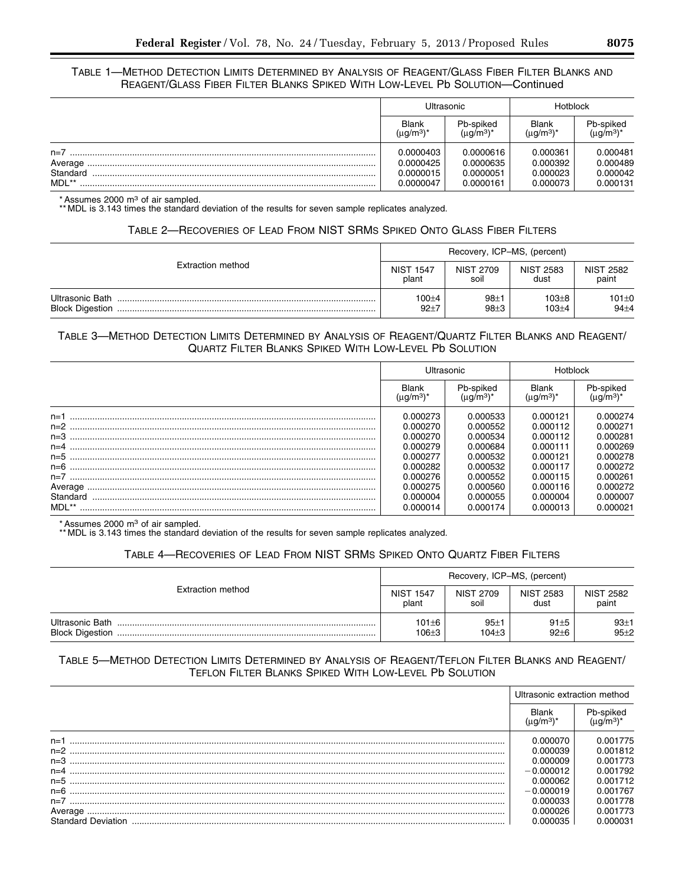## TABLE 1—METHOD DETECTION LIMITS DETERMINED BY ANALYSIS OF REAGENT/GLASS FIBER FILTER BLANKS AND REAGENT/GLASS FIBER FILTER BLANKS SPIKED WITH LOW-LEVEL Pb SOLUTION—Continued

|          | Ultrasonic                            |                              | <b>Hotblock</b>                 |                              |
|----------|---------------------------------------|------------------------------|---------------------------------|------------------------------|
|          | <b>Blank</b><br>(µg/m <sup>3</sup> )' | Pb-spiked<br>$(\mu g/m^3)^*$ | <b>Blank</b><br>$(\mu q/m^3)^*$ | Pb-spiked<br>$(\mu q/m^3)^*$ |
| $n=7$    | 0.0000403                             | 0.0000616                    | 0.000361                        | 0.000481                     |
| Average  | 0.0000425                             | 0.0000635                    | 0.000392                        | 0.000489                     |
| Standard | 0.0000015                             | 0.0000051                    | 0.000023                        | 0.000042                     |
| MDL**    | 0.0000047                             | 0.0000161                    | 0.000073                        | 0.000131                     |

\* Assumes 2000 m3 of air sampled.

\*\* MDL is 3.143 times the standard deviation of the results for seven sample replicates analyzed.

## TABLE 2—RECOVERIES OF LEAD FROM NIST SRMS SPIKED ONTO GLASS FIBER FILTERS

|                                           | Recovery, ICP-MS, (percent) |                              |                          |                           |
|-------------------------------------------|-----------------------------|------------------------------|--------------------------|---------------------------|
| Extraction method                         | <b>NIST 1547</b><br>plant   | <b>NIST 2709</b><br>soil     | <b>NIST 2583</b><br>dust | <b>NIST 2582</b><br>paint |
| Ultrasonic Bath<br><b>Block Digestion</b> | $100 + 4$<br>$92 + 7$       | $98 + 1$<br>98 <sub>±3</sub> | 103±8<br>$103 + 4$       | $101 \pm 0$<br>$94\pm4$   |

# TABLE 3—METHOD DETECTION LIMITS DETERMINED BY ANALYSIS OF REAGENT/QUARTZ FILTER BLANKS AND REAGENT/ QUARTZ FILTER BLANKS SPIKED WITH LOW-LEVEL Pb SOLUTION

|          | Ultrasonic   |                                    | Hotblock                     |           |
|----------|--------------|------------------------------------|------------------------------|-----------|
|          | <b>Blank</b> | Pb-spiked<br>(ua/m <sup>3</sup> )* | <b>Blank</b><br>$(uq/m^3)^*$ | Pb-spiked |
| $n=1$    | 0.000273     | 0.000533                           | 0.000121                     | 0.000274  |
| $n=2$    | 0.000270     | 0.000552                           | 0.000112                     | 0.000271  |
| $n = 3$  | 0.000270     | 0.000534                           | 0.000112                     | 0.000281  |
| $n=4$    | 0.000279     | 0.000684                           | 0.000111                     | 0.000269  |
| $n=5$    | 0.000277     | 0.000532                           | 0.000121                     | 0.000278  |
| $n=6$    | 0.000282     | 0.000532                           | 0.000117                     | 0.000272  |
| $n=7$    | 0.000276     | 0.000552                           | 0.000115                     | 0.000261  |
| Average  | 0.000275     | 0.000560                           | 0.000116                     | 0.000272  |
| Standard | 0.000004     | 0.000055                           | 0.000004                     | 0.000007  |
| MDL**    | 0.000014     | 0.000174                           | 0.000013                     | 0.000021  |

\* Assumes 2000 m3 of air sampled.

\*\* MDL is 3.143 times the standard deviation of the results for seven sample replicates analyzed.

# TABLE 4—RECOVERIES OF LEAD FROM NIST SRMS SPIKED ONTO QUARTZ FIBER FILTERS

|                                           | Recovery, ICP-MS, (percent) |                                                                                                                                 |                           |                    |
|-------------------------------------------|-----------------------------|---------------------------------------------------------------------------------------------------------------------------------|---------------------------|--------------------|
| Extraction method                         | <b>NIST 1547</b><br>plant   | <b>NIST 2709</b><br><b>NIST 2583</b><br>dust<br>soil<br>$101 + 6$<br>$91 + 5$<br>$95 + 1$<br>$92 + 6$<br>$106 + 3$<br>$104 + 3$ | <b>NIST 2582</b><br>paint |                    |
| Ultrasonic Bath<br><b>Block Digestion</b> |                             |                                                                                                                                 |                           | $93+1$<br>$95 + 2$ |

## TABLE 5—METHOD DETECTION LIMITS DETERMINED BY ANALYSIS OF REAGENT/TEFLON FILTER BLANKS AND REAGENT/ TEFLON FILTER BLANKS SPIKED WITH LOW-LEVEL Pb SOLUTION

|                           | Ultrasonic extraction method |           |
|---------------------------|------------------------------|-----------|
|                           | Blank                        | Pb-spiked |
| $n=1$                     | 0.000070                     | 0.001775  |
| $n=2$                     | 0.000039                     | 0.001812  |
| $n=3$                     | 0.000009                     | 0.001773  |
| $n=4$                     | $-0.000012$                  | 0.001792  |
| $n=5$                     | 0.000062                     | 0.001712  |
| $n=6$                     | $-0.000019$                  | 0.001767  |
| $n=7$                     | 0.000033                     | 0.001778  |
|                           | 0.000026                     | 0.001773  |
| <b>Standard Deviation</b> |                              | Ი ᲘᲘᲘᲘᲕ1  |